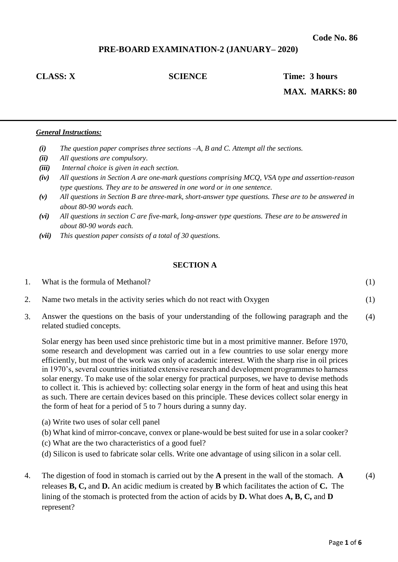# **PRE-BOARD EXAMINATION-2 (JANUARY– 2020)**

**CLASS: X SCIENCE Time: 3 hours** 

 **MAX. MARKS: 80** 

#### *General Instructions:*

- *(i) The question paper comprises three sections –A, B and C. Attempt all the sections.*
- *(ii) All questions are compulsory.*
- *(iii) Internal choice is given in each section.*
- *(iv) All questions in Section A are one-mark questions comprising MCQ, VSA type and assertion-reason type questions. They are to be answered in one word or in one sentence.*
- *(v) All questions in Section B are three-mark, short-answer type questions. These are to be answered in about 80-90 words each.*
- *(vi) All questions in section C are five-mark, long-answer type questions. These are to be answered in about 80-90 words each.*
- *(vii) This question paper consists of a total of 30 questions.*

#### **SECTION A**

| 1. | What is the formula of Methanol?                                                           |  |
|----|--------------------------------------------------------------------------------------------|--|
|    | Name two metals in the activity series which do not react with Oxygen                      |  |
|    | Aparron the guestions on the besie of your understanding of the following newsmaph and the |  |

3. Answer the questions on the basis of your understanding of the following paragraph and the related studied concepts. (4)

Solar energy has been used since prehistoric time but in a most primitive manner. Before 1970, some research and development was carried out in a few countries to use solar energy more efficiently, but most of the work was only of academic interest. With the sharp rise in oil prices in 1970's, several countries initiated extensive research and development programmes to harness solar energy. To make use of the solar energy for practical purposes, we have to devise methods to collect it. This is achieved by: collecting solar energy in the form of heat and using this heat as such. There are certain devices based on this principle. These devices collect solar energy in the form of heat for a period of 5 to 7 hours during a sunny day.

- (a) Write two uses of solar cell panel
- (b) What kind of mirror-concave, convex or plane-would be best suited for use in a solar cooker?
- (c) What are the two characteristics of a good fuel?
- (d) Silicon is used to fabricate solar cells. Write one advantage of using silicon in a solar cell.
- 4. The digestion of food in stomach is carried out by the **A** present in the wall of the stomach. **A** releases **B, C,** and **D.** An acidic medium is created by **B** which facilitates the action of **C.** The lining of the stomach is protected from the action of acids by **D.** What does **A, B, C,** and **D** represent? (4)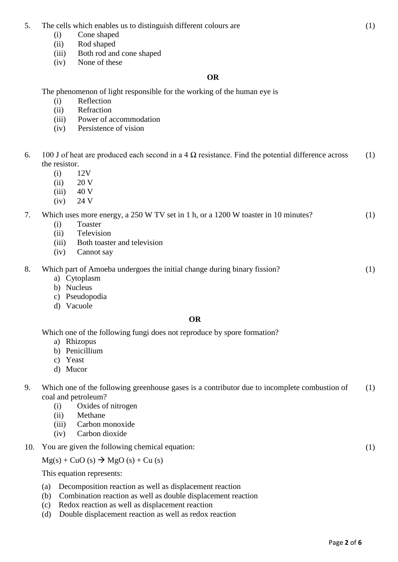- (i) Cone shaped
- (ii) Rod shaped
- (iii) Both rod and cone shaped
- (iv) None of these

# **OR**

The phenomenon of light responsible for the working of the human eye is

- (i) Reflection
- (ii) Refraction
- (iii) Power of accommodation
- (iv) Persistence of vision
- 6. 100 J of heat are produced each second in a 4  $\Omega$  resistance. Find the potential difference across the resistor. (1)
	- (i) 12V
	- $(ii)$  20 V
	- $(iii)$  40 V
	- $(iv)$  24 V

#### 7. Which uses more energy, a 250 W TV set in 1 h, or a 1200 W toaster in 10 minutes? (1)

- (i) Toaster
- (ii) Television
- (iii) Both toaster and television
- (iv) Cannot say

#### 8. Which part of Amoeba undergoes the initial change during binary fission? (1)

- a) Cytoplasm
- b) Nucleus
- c) Pseudopodia
- d) Vacuole

# **OR**

Which one of the following fungi does not reproduce by spore formation?

- a) Rhizopus
- b) Penicillium
- c) Yeast
- d) Mucor

#### 9. Which one of the following greenhouse gases is a contributor due to incomplete combustion of coal and petroleum? (1)

- (i) Oxides of nitrogen
- (ii) Methane
- (iii) Carbon monoxide
- (iv) Carbon dioxide
- 10. You are given the following chemical equation:

 $Mg(s)$  + CuO (s)  $\rightarrow$  MgO (s) + Cu (s)

This equation represents:

- (a) Decomposition reaction as well as displacement reaction
- (b) Combination reaction as well as double displacement reaction
- (c) Redox reaction as well as displacement reaction
- (d) Double displacement reaction as well as redox reaction

(1)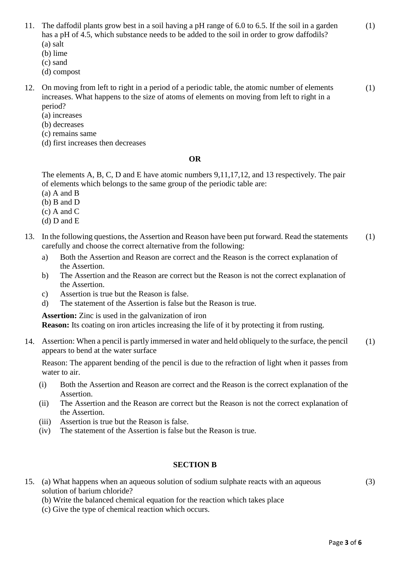(3)

(1)

- 11. The daffodil plants grow best in a soil having a pH range of 6.0 to 6.5. If the soil in a garden has a pH of 4.5, which substance needs to be added to the soil in order to grow daffodils? (a) salt
	- (b) lime
	- (c) sand
	- (d) compost
- 12. On moving from left to right in a period of a periodic table, the atomic number of elements increases. What happens to the size of atoms of elements on moving from left to right in a period? (1)
	- (a) increases
	- (b) decreases
	- (c) remains same
	- (d) first increases then decreases

## **OR**

The elements A, B, C, D and E have atomic numbers 9,11,17,12, and 13 respectively. The pair of elements which belongs to the same group of the periodic table are:

- (a) A and B
- (b) B and D
- (c) A and C
- (d) D and E
- 13. In the following questions, the Assertion and Reason have been put forward. Read the statements carefully and choose the correct alternative from the following: (1)
	- a) Both the Assertion and Reason are correct and the Reason is the correct explanation of the Assertion.
	- b) The Assertion and the Reason are correct but the Reason is not the correct explanation of the Assertion.
	- c) Assertion is true but the Reason is false.
	- d) The statement of the Assertion is false but the Reason is true.

**Assertion:** Zinc is used in the galvanization of iron

**Reason:** Its coating on iron articles increasing the life of it by protecting it from rusting.

14. Assertion: When a pencil is partly immersed in water and held obliquely to the surface, the pencil appears to bend at the water surface (1)

Reason: The apparent bending of the pencil is due to the refraction of light when it passes from water to air.

- (i) Both the Assertion and Reason are correct and the Reason is the correct explanation of the Assertion.
- (ii) The Assertion and the Reason are correct but the Reason is not the correct explanation of the Assertion.
- (iii) Assertion is true but the Reason is false.
- (iv) The statement of the Assertion is false but the Reason is true.

# **SECTION B**

15. (a) What happens when an aqueous solution of sodium sulphate reacts with an aqueous solution of barium chloride?

(b) Write the balanced chemical equation for the reaction which takes place

(c) Give the type of chemical reaction which occurs.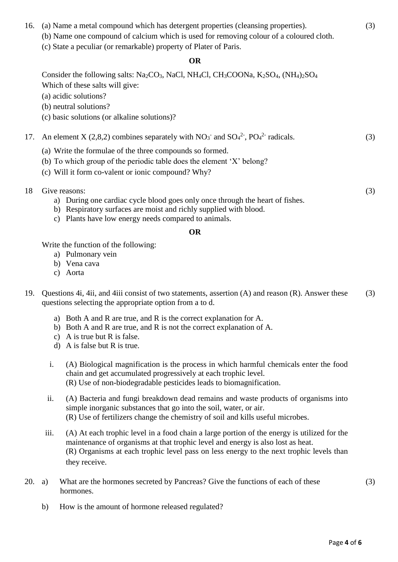# 16. (a) Name a metal compound which has detergent properties (cleansing properties). (b) Name one compound of calcium which is used for removing colour of a coloured cloth.

(c) State a peculiar (or remarkable) property of Plater of Paris.

# **OR**

Consider the following salts: Na<sub>2</sub>CO<sub>3</sub>, NaCl, NH<sub>4</sub>Cl, CH<sub>3</sub>COONa, K<sub>2</sub>SO<sub>4</sub>, (NH<sub>4</sub>)<sub>2</sub>SO<sub>4</sub> Which of these salts will give:

(a) acidic solutions?

- (b) neutral solutions?
- (c) basic solutions (or alkaline solutions)?

#### 17. An element X (2,8,2) combines separately with  $NO_3^-$  and  $SO_4^2$ ,  $PO_4^2$  radicals. (3)

- (a) Write the formulae of the three compounds so formed.
- (b) To which group of the periodic table does the element 'X' belong?
- (c) Will it form co-valent or ionic compound? Why?
- 18 Give reasons:
	- a) During one cardiac cycle blood goes only once through the heart of fishes.
	- b) Respiratory surfaces are moist and richly supplied with blood.
	- c) Plants have low energy needs compared to animals.

## **OR**

Write the function of the following:

- a) Pulmonary vein
- b) Vena cava
- c) Aorta
- 19. Questions 4i, 4ii, and 4iii consist of two statements, assertion (A) and reason (R). Answer these questions selecting the appropriate option from a to d. (3)
	- a) Both A and R are true, and R is the correct explanation for A.
	- b) Both A and R are true, and R is not the correct explanation of A.
	- c) A is true but R is false.
	- d) A is false but R is true.
	- i. (A) Biological magnification is the process in which harmful chemicals enter the food chain and get accumulated progressively at each trophic level. (R) Use of non-biodegradable pesticides leads to biomagnification.
	- ii. (A) Bacteria and fungi breakdown dead remains and waste products of organisms into simple inorganic substances that go into the soil, water, or air. (R) Use of fertilizers change the chemistry of soil and kills useful microbes.
	- iii. (A) At each trophic level in a food chain a large portion of the energy is utilized for the maintenance of organisms at that trophic level and energy is also lost as heat. (R) Organisms at each trophic level pass on less energy to the next trophic levels than they receive.
- 20. a) What are the hormones secreted by Pancreas? Give the functions of each of these hormones.
- (3)

(3)

(3)

b) How is the amount of hormone released regulated?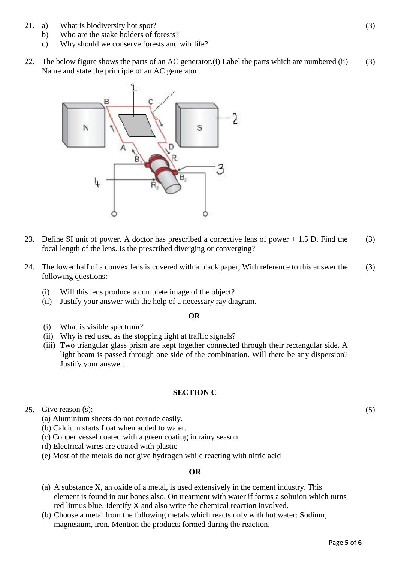- 21. a) What is biodiversity hot spot?
	- b) Who are the stake holders of forests?
	- c) Why should we conserve forests and wildlife?
- 22. The below figure shows the parts of an AC generator.(i) Label the parts which are numbered (ii) Name and state the principle of an AC generator. (3)



- 23. Define SI unit of power. A doctor has prescribed a corrective lens of power + 1.5 D. Find the focal length of the lens. Is the prescribed diverging or converging? (3)
- 24. The lower half of a convex lens is covered with a black paper, With reference to this answer the following questions: (3)
	- (i) Will this lens produce a complete image of the object?
	- (ii) Justify your answer with the help of a necessary ray diagram.

## **OR**

- (i) What is visible spectrum?
- (ii) Why is red used as the stopping light at traffic signals?
- (iii) Two triangular glass prism are kept together connected through their rectangular side. A light beam is passed through one side of the combination. Will there be any dispersion? Justify your answer.

## **SECTION C**

- 25. Give reason (s):
	- (a) Aluminium sheets do not corrode easily.
	- (b) Calcium starts float when added to water.
	- (c) Copper vessel coated with a green coating in rainy season.
	- (d) Electrical wires are coated with plastic
	- (e) Most of the metals do not give hydrogen while reacting with nitric acid

## **OR**

- (a) A substance X, an oxide of a metal, is used extensively in the cement industry. This element is found in our bones also. On treatment with water if forms a solution which turns red litmus blue. Identify X and also write the chemical reaction involved.
- (b) Choose a metal from the following metals which reacts only with hot water: Sodium, magnesium, iron. Mention the products formed during the reaction.

(5)